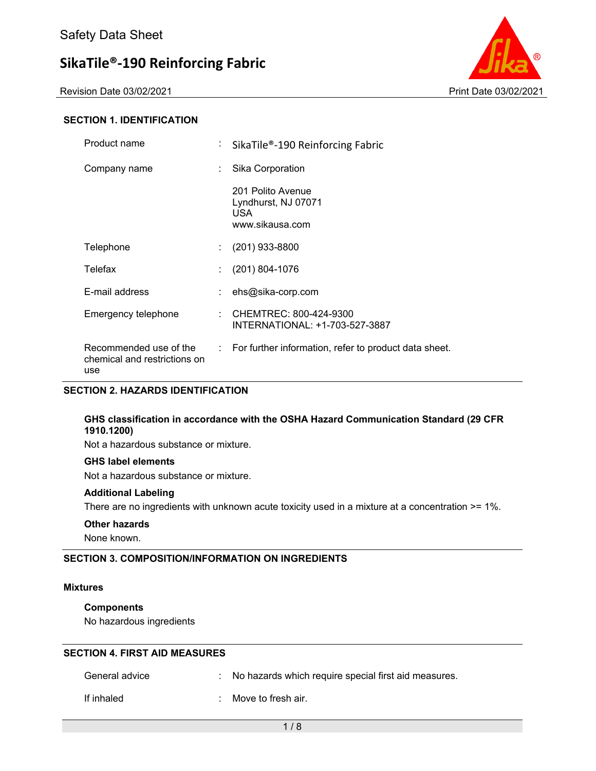Revision Date 03/02/2021 2021 20:00 20:00 20:00 20:00 20:00 20:00 Print Date 03/02/2021



#### **SECTION 1. IDENTIFICATION**

| Product name                                                  | ÷. | SikaTile®-190 Reinforcing Fabric                                    |
|---------------------------------------------------------------|----|---------------------------------------------------------------------|
| Company name                                                  | ÷. | Sika Corporation                                                    |
|                                                               |    | 201 Polito Avenue<br>Lyndhurst, NJ 07071<br>USA.<br>www.sikausa.com |
| Telephone                                                     | ÷. | $(201)$ 933-8800                                                    |
| Telefax                                                       |    | $(201) 804 - 1076$                                                  |
| E-mail address                                                |    | ehs@sika-corp.com                                                   |
| Emergency telephone                                           | ÷. | CHEMTREC: 800-424-9300<br>INTERNATIONAL: +1-703-527-3887            |
| Recommended use of the<br>chemical and restrictions on<br>use |    | : For further information, refer to product data sheet.             |

#### **SECTION 2. HAZARDS IDENTIFICATION**

#### **GHS classification in accordance with the OSHA Hazard Communication Standard (29 CFR 1910.1200)**

Not a hazardous substance or mixture.

#### **GHS label elements**

Not a hazardous substance or mixture.

#### **Additional Labeling**

There are no ingredients with unknown acute toxicity used in a mixture at a concentration >= 1%.

#### **Other hazards**

None known.

#### **SECTION 3. COMPOSITION/INFORMATION ON INGREDIENTS**

#### **Mixtures**

#### **Components**

No hazardous ingredients

#### **SECTION 4. FIRST AID MEASURES**

| General advice | No hazards which require special first aid measures. |
|----------------|------------------------------------------------------|
| If inhaled     | Move to fresh air.                                   |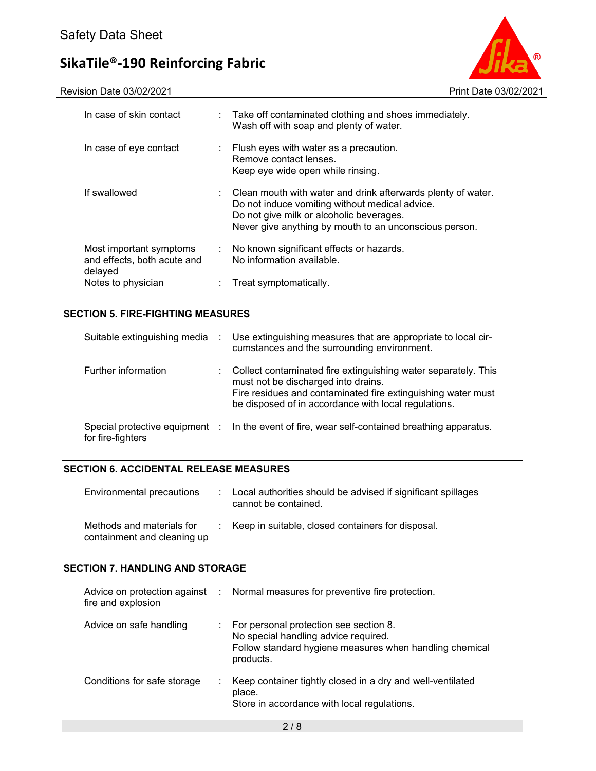Revision Date 03/02/2021 Print Date 03/02/2021



| In case of skin contact                                           | : Take off contaminated clothing and shoes immediately.<br>Wash off with soap and plenty of water.                                                                                                                                |
|-------------------------------------------------------------------|-----------------------------------------------------------------------------------------------------------------------------------------------------------------------------------------------------------------------------------|
| In case of eye contact                                            | : Flush eyes with water as a precaution.<br>Remove contact lenses.<br>Keep eye wide open while rinsing.                                                                                                                           |
| If swallowed                                                      | $\therefore$ Clean mouth with water and drink afterwards plenty of water.<br>Do not induce vomiting without medical advice.<br>Do not give milk or alcoholic beverages.<br>Never give anything by mouth to an unconscious person. |
| Most important symptoms<br>and effects, both acute and<br>delayed | : No known significant effects or hazards.<br>No information available.                                                                                                                                                           |
| Notes to physician                                                | Treat symptomatically.                                                                                                                                                                                                            |

#### **SECTION 5. FIRE-FIGHTING MEASURES**

| Suitable extinguishing media | $\sim 100$ | Use extinguishing measures that are appropriate to local cir-<br>cumstances and the surrounding environment.                                                                                                                  |
|------------------------------|------------|-------------------------------------------------------------------------------------------------------------------------------------------------------------------------------------------------------------------------------|
| Further information          |            | Collect contaminated fire extinguishing water separately. This<br>must not be discharged into drains.<br>Fire residues and contaminated fire extinguishing water must<br>be disposed of in accordance with local regulations. |
| for fire-fighters            |            | Special protective equipment : In the event of fire, wear self-contained breathing apparatus.                                                                                                                                 |

#### **SECTION 6. ACCIDENTAL RELEASE MEASURES**

| Environmental precautions                                | : Local authorities should be advised if significant spillages<br>cannot be contained. |
|----------------------------------------------------------|----------------------------------------------------------------------------------------|
| Methods and materials for<br>containment and cleaning up | : Keep in suitable, closed containers for disposal.                                    |

#### **SECTION 7. HANDLING AND STORAGE**

| fire and explosion          | Advice on protection against : Normal measures for preventive fire protection.                                                                           |
|-----------------------------|----------------------------------------------------------------------------------------------------------------------------------------------------------|
| Advice on safe handling     | : For personal protection see section 8.<br>No special handling advice required.<br>Follow standard hygiene measures when handling chemical<br>products. |
| Conditions for safe storage | Keep container tightly closed in a dry and well-ventilated<br>place.<br>Store in accordance with local regulations.                                      |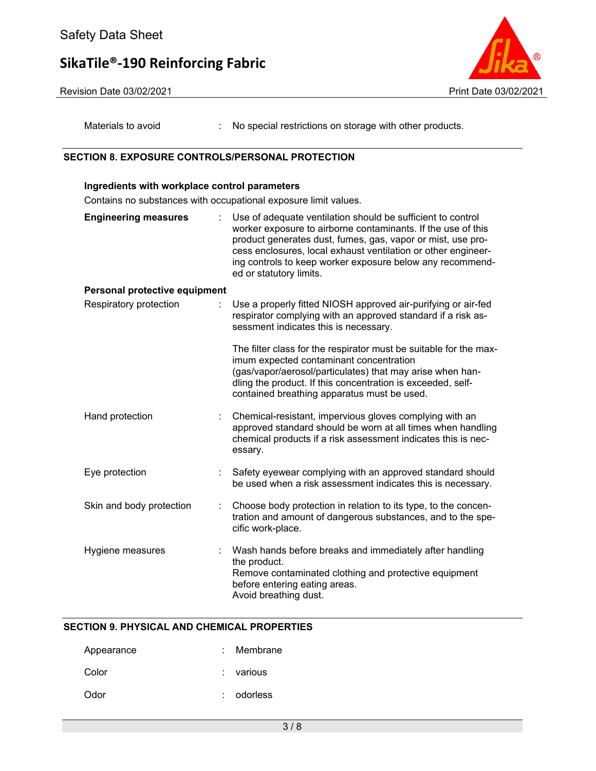



Materials to avoid : No special restrictions on storage with other products.

#### **SECTION 8. EXPOSURE CONTROLS/PERSONAL PROTECTION**

**Ingredients with workplace control parameters** 

### Contains no substances with occupational exposure limit values. **Engineering measures** : Use of adequate ventilation should be sufficient to control worker exposure to airborne contaminants. If the use of this product generates dust, fumes, gas, vapor or mist, use process enclosures, local exhaust ventilation or other engineering controls to keep worker exposure below any recommended or statutory limits. **Personal protective equipment** Respiratory protection : Use a properly fitted NIOSH approved air-purifying or air-fed respirator complying with an approved standard if a risk assessment indicates this is necessary. The filter class for the respirator must be suitable for the maximum expected contaminant concentration (gas/vapor/aerosol/particulates) that may arise when handling the product. If this concentration is exceeded, selfcontained breathing apparatus must be used. Hand protection : Chemical-resistant, impervious gloves complying with an approved standard should be worn at all times when handling chemical products if a risk assessment indicates this is necessary. Eye protection : Safety eyewear complying with an approved standard should be used when a risk assessment indicates this is necessary. Skin and body protection : Choose body protection in relation to its type, to the concentration and amount of dangerous substances, and to the specific work-place. Hygiene measures : Wash hands before breaks and immediately after handling the product. Remove contaminated clothing and protective equipment before entering eating areas. Avoid breathing dust.

#### **SECTION 9. PHYSICAL AND CHEMICAL PROPERTIES**

| Appearance | : Membrane  |
|------------|-------------|
| Color      | $:$ various |
| Odor       | odorless    |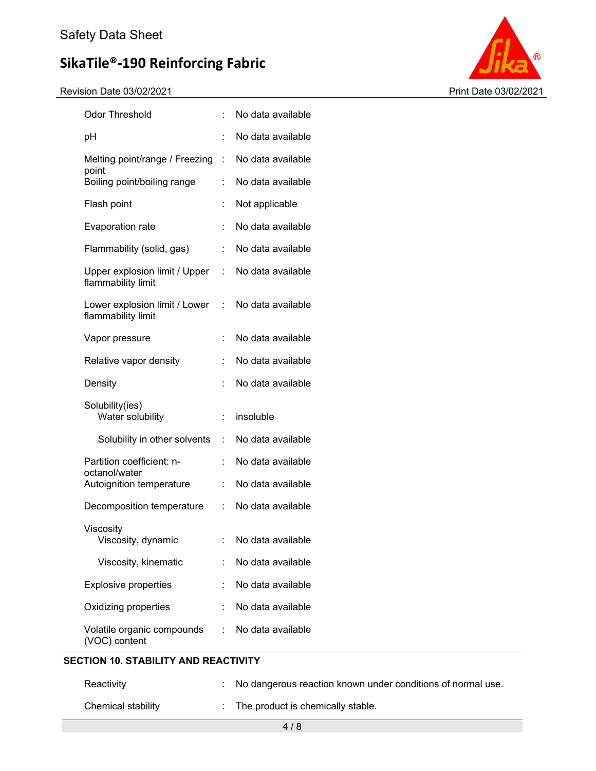Revision Date 03/02/2021 Print Date 03/02/2021



| <b>Odor Threshold</b>                               | t              | No data available |
|-----------------------------------------------------|----------------|-------------------|
| pH                                                  |                | No data available |
| Melting point/range / Freezing                      | ÷              | No data available |
| point<br>Boiling point/boiling range                | t              | No data available |
| Flash point                                         | t              | Not applicable    |
| Evaporation rate                                    | $\ddot{\cdot}$ | No data available |
| Flammability (solid, gas)                           | t.             | No data available |
| Upper explosion limit / Upper<br>flammability limit | ÷              | No data available |
| Lower explosion limit / Lower<br>flammability limit | ÷.             | No data available |
| Vapor pressure                                      | ÷.             | No data available |
| Relative vapor density                              | ÷              | No data available |
| Density                                             | t              | No data available |
| Solubility(ies)<br>Water solubility                 | $\ddot{\cdot}$ | insoluble         |
| Solubility in other solvents                        | ÷.             | No data available |
| Partition coefficient: n-                           | ÷              | No data available |
| octanol/water<br>Autoignition temperature           | ÷              | No data available |
| Decomposition temperature                           | t.             | No data available |
| Viscosity<br>Viscosity, dynamic                     |                | No data available |
| Viscosity, kinematic                                |                | No data available |
| <b>Explosive properties</b>                         |                | No data available |
| Oxidizing properties                                |                | No data available |
| Volatile organic compounds<br>(VOC) content         | t.             | No data available |

### **SECTION 10. STABILITY AND REACTIVITY**

| Reactivity         | : No dangerous reaction known under conditions of normal use. |
|--------------------|---------------------------------------------------------------|
| Chemical stability | The product is chemically stable.                             |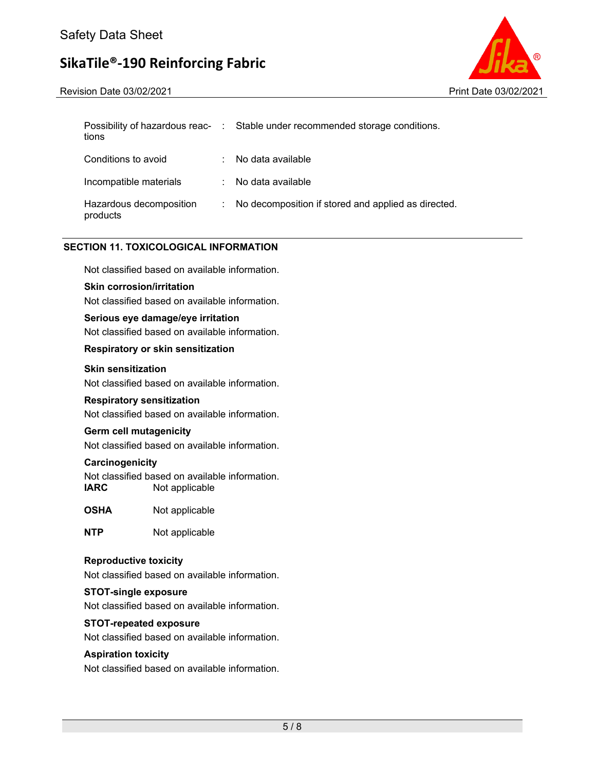Revision Date 03/02/2021 Print Date 03/02/2021



| tions                               |    | Possibility of hazardous reac- : Stable under recommended storage conditions. |
|-------------------------------------|----|-------------------------------------------------------------------------------|
| Conditions to avoid                 |    | No data available                                                             |
| Incompatible materials              | t. | No data available                                                             |
| Hazardous decomposition<br>products | t. | No decomposition if stored and applied as directed.                           |

#### **SECTION 11. TOXICOLOGICAL INFORMATION**

Not classified based on available information.

#### **Skin corrosion/irritation**

Not classified based on available information.

#### **Serious eye damage/eye irritation**

Not classified based on available information.

#### **Respiratory or skin sensitization**

#### **Skin sensitization**

Not classified based on available information.

#### **Respiratory sensitization**

Not classified based on available information.

#### **Germ cell mutagenicity**

Not classified based on available information.

#### **Carcinogenicity**

Not classified based on available information. **IARC** Not applicable

**OSHA** Not applicable

**NTP** Not applicable

#### **Reproductive toxicity**

Not classified based on available information.

#### **STOT-single exposure**

Not classified based on available information.

#### **STOT-repeated exposure**

Not classified based on available information.

#### **Aspiration toxicity**

Not classified based on available information.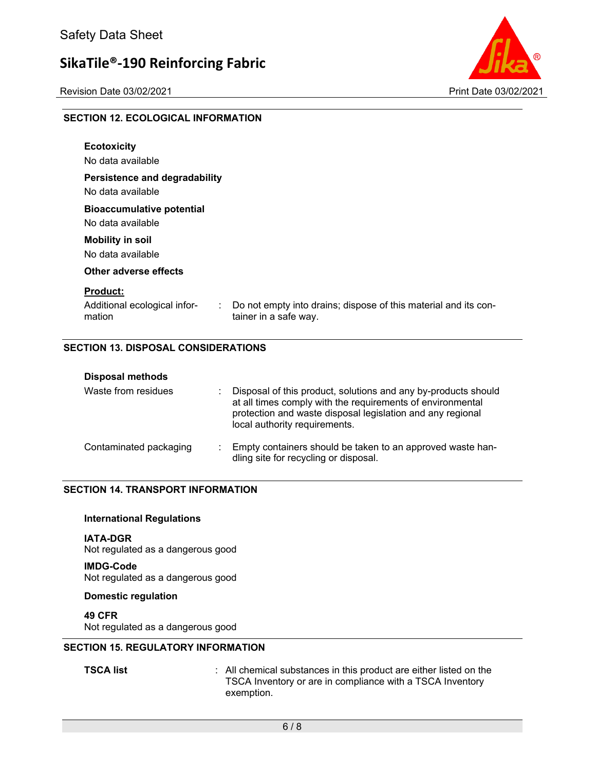Revision Date 03/02/2021 2021 20:00 20:00 20:00 20:00 20:00 20:00 Print Date 03/02/2021



#### **SECTION 12. ECOLOGICAL INFORMATION**

| <b>Ecotoxicity</b><br>No data available                                                  |                                                                                          |
|------------------------------------------------------------------------------------------|------------------------------------------------------------------------------------------|
| Persistence and degradability<br>No data available                                       |                                                                                          |
| <b>Bioaccumulative potential</b><br>No data available                                    |                                                                                          |
| <b>Mobility in soil</b><br>No data available                                             |                                                                                          |
| Other adverse effects                                                                    |                                                                                          |
| <b>Product:</b><br>Additional ecological infor-<br>$\mathcal{L}^{\mathcal{L}}$<br>mation | Do not empty into drains; dispose of this material and its con-<br>tainer in a safe way. |

#### **SECTION 13. DISPOSAL CONSIDERATIONS**

| <b>Disposal methods</b><br>Waste from residues | Disposal of this product, solutions and any by-products should<br>at all times comply with the requirements of environmental<br>protection and waste disposal legislation and any regional<br>local authority requirements. |
|------------------------------------------------|-----------------------------------------------------------------------------------------------------------------------------------------------------------------------------------------------------------------------------|
| Contaminated packaging                         | Empty containers should be taken to an approved waste han-<br>dling site for recycling or disposal.                                                                                                                         |

#### **SECTION 14. TRANSPORT INFORMATION**

#### **International Regulations**

**IATA-DGR**  Not regulated as a dangerous good

**IMDG-Code**  Not regulated as a dangerous good

#### **Domestic regulation**

**49 CFR**  Not regulated as a dangerous good

#### **SECTION 15. REGULATORY INFORMATION**

**TSCA list** : All chemical substances in this product are either listed on the TSCA Inventory or are in compliance with a TSCA Inventory exemption.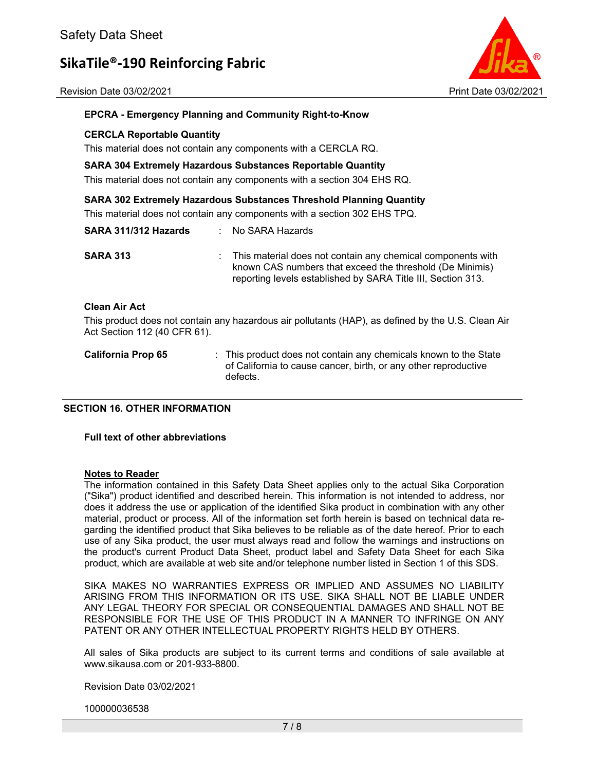Revision Date 03/02/2021 Print Date 03/02/2021



#### **EPCRA - Emergency Planning and Community Right-to-Know**

#### **CERCLA Reportable Quantity**

This material does not contain any components with a CERCLA RQ.

#### **SARA 304 Extremely Hazardous Substances Reportable Quantity**

This material does not contain any components with a section 304 EHS RQ.

#### **SARA 302 Extremely Hazardous Substances Threshold Planning Quantity**

This material does not contain any components with a section 302 EHS TPQ.

| SARA 311/312 Hazards         | : No SARA Hazards                                                                                                                                                                         |
|------------------------------|-------------------------------------------------------------------------------------------------------------------------------------------------------------------------------------------|
| <b>SARA 313</b>              | : This material does not contain any chemical components with<br>known CAS numbers that exceed the threshold (De Minimis)<br>reporting levels established by SARA Title III, Section 313. |
| <b>Clean Air Act</b>         |                                                                                                                                                                                           |
| Act Section 112 (40 CFR 61). | This product does not contain any hazardous air pollutants (HAP), as defined by the U.S. Clean Air                                                                                        |

| <b>California Prop 65</b> | : This product does not contain any chemicals known to the State<br>of California to cause cancer, birth, or any other reproductive<br>defects. |
|---------------------------|-------------------------------------------------------------------------------------------------------------------------------------------------|
|---------------------------|-------------------------------------------------------------------------------------------------------------------------------------------------|

#### **SECTION 16. OTHER INFORMATION**

#### **Full text of other abbreviations**

#### **Notes to Reader**

The information contained in this Safety Data Sheet applies only to the actual Sika Corporation ("Sika") product identified and described herein. This information is not intended to address, nor does it address the use or application of the identified Sika product in combination with any other material, product or process. All of the information set forth herein is based on technical data regarding the identified product that Sika believes to be reliable as of the date hereof. Prior to each use of any Sika product, the user must always read and follow the warnings and instructions on the product's current Product Data Sheet, product label and Safety Data Sheet for each Sika product, which are available at web site and/or telephone number listed in Section 1 of this SDS.

SIKA MAKES NO WARRANTIES EXPRESS OR IMPLIED AND ASSUMES NO LIABILITY ARISING FROM THIS INFORMATION OR ITS USE. SIKA SHALL NOT BE LIABLE UNDER ANY LEGAL THEORY FOR SPECIAL OR CONSEQUENTIAL DAMAGES AND SHALL NOT BE RESPONSIBLE FOR THE USE OF THIS PRODUCT IN A MANNER TO INFRINGE ON ANY PATENT OR ANY OTHER INTELLECTUAL PROPERTY RIGHTS HELD BY OTHERS.

All sales of Sika products are subject to its current terms and conditions of sale available at www.sikausa.com or 201-933-8800.

Revision Date 03/02/2021

100000036538